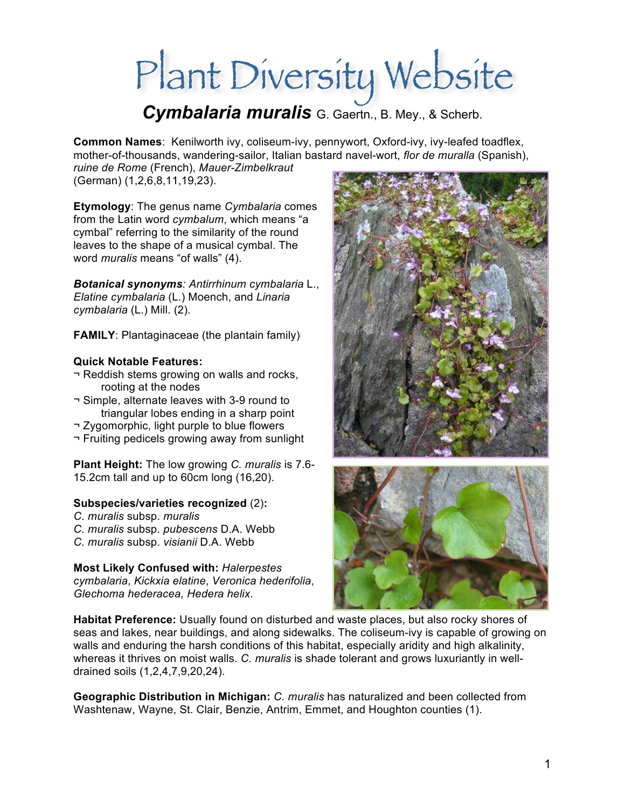# Plant Diversity Website

*Cymbalaria muralis* G. Gaertn., B. Mey., & Scherb.

**Common Names**: Kenilworth ivy, coliseum-ivy, pennywort, Oxford-ivy, ivy-leafed toadflex, mother-of-thousands, wandering-sailor, Italian bastard navel-wort, *flor de muralla* (Spanish),

*ruine de Rome* (French), *Mauer-Zimbelkraut* (German) (1,2,6,8,11,19,23).

**Etymology**: The genus name *Cymbalaria* comes from the Latin word *cymbalum*, which means "a cymbal" referring to the similarity of the round leaves to the shape of a musical cymbal. The word *muralis* means "of walls" (4).

*Botanical synonyms: Antirrhinum cymbalaria* L., *Elatine cymbalaria* (L.) Moench, and *Linaria cymbalaria* (L.) Mill. (2).

**FAMILY**: Plantaginaceae (the plantain family)

### **Quick Notable Features:**

- ¬ Reddish stems growing on walls and rocks, rooting at the nodes
- ¬ Simple, alternate leaves with 3-9 round to triangular lobes ending in a sharp point
- ¬ Zygomorphic, light purple to blue flowers
- ¬ Fruiting pedicels growing away from sunlight

**Plant Height:** The low growing *C. muralis* is 7.6- 15.2cm tall and up to 60cm long (16,20).

#### **Subspecies/varieties recognized** (2)**:**

- *C. muralis* subsp. *muralis*
- *C. muralis* subsp. *pubescens* D.A. Webb
- *C. muralis* subsp. *visianii* D.A. Webb

**Most Likely Confused with:** *Halerpestes cymbalaria*, *Kickxia elatine*, *Veronica hederifolia*, *Glechoma hederacea, Hedera helix*.





**Habitat Preference:** Usually found on disturbed and waste places, but also rocky shores of seas and lakes, near buildings, and along sidewalks. The coliseum-ivy is capable of growing on walls and enduring the harsh conditions of this habitat, especially aridity and high alkalinity, whereas it thrives on moist walls. *C. muralis* is shade tolerant and grows luxuriantly in welldrained soils (1,2,4,7,9,20,24).

**Geographic Distribution in Michigan:** *C. muralis* has naturalized and been collected from Washtenaw, Wayne, St. Clair, Benzie, Antrim, Emmet, and Houghton counties (1).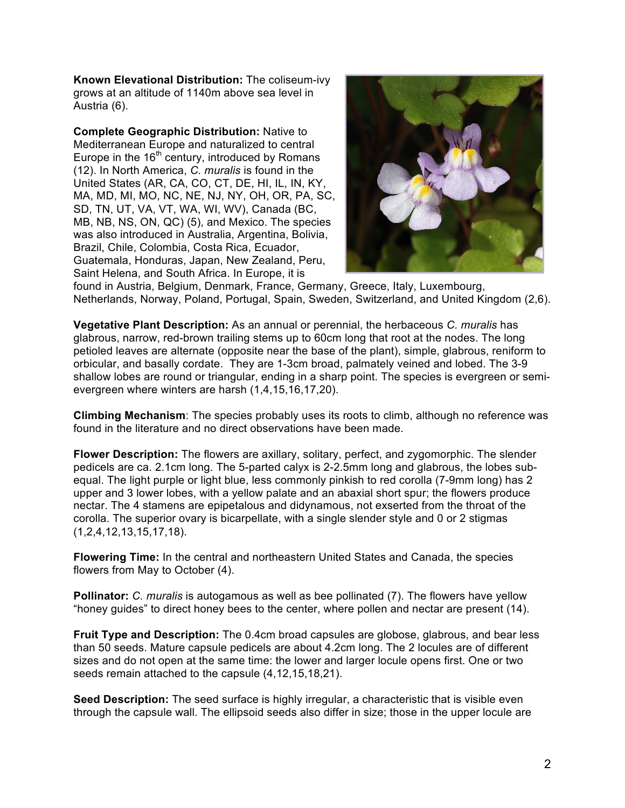**Known Elevational Distribution:** The coliseum-ivy grows at an altitude of 1140m above sea level in Austria (6).

**Complete Geographic Distribution:** Native to Mediterranean Europe and naturalized to central Europe in the  $16<sup>th</sup>$  century, introduced by Romans (12). In North America, *C. muralis* is found in the United States (AR, CA, CO, CT, DE, HI, IL, IN, KY, MA, MD, MI, MO, NC, NE, NJ, NY, OH, OR, PA, SC, SD, TN, UT, VA, VT, WA, WI, WV), Canada (BC, MB, NB, NS, ON, QC) (5), and Mexico. The species was also introduced in Australia, Argentina, Bolivia, Brazil, Chile, Colombia, Costa Rica, Ecuador, Guatemala, Honduras, Japan, New Zealand, Peru, Saint Helena, and South Africa. In Europe, it is



found in Austria, Belgium, Denmark, France, Germany, Greece, Italy, Luxembourg, Netherlands, Norway, Poland, Portugal, Spain, Sweden, Switzerland, and United Kingdom (2,6).

**Vegetative Plant Description:** As an annual or perennial, the herbaceous *C. muralis* has glabrous, narrow, red-brown trailing stems up to 60cm long that root at the nodes. The long petioled leaves are alternate (opposite near the base of the plant), simple, glabrous, reniform to orbicular, and basally cordate. They are 1-3cm broad, palmately veined and lobed. The 3-9 shallow lobes are round or triangular, ending in a sharp point. The species is evergreen or semievergreen where winters are harsh (1,4,15,16,17,20).

**Climbing Mechanism**: The species probably uses its roots to climb, although no reference was found in the literature and no direct observations have been made.

**Flower Description:** The flowers are axillary, solitary, perfect, and zygomorphic. The slender pedicels are ca. 2.1cm long. The 5-parted calyx is 2-2.5mm long and glabrous, the lobes subequal. The light purple or light blue, less commonly pinkish to red corolla (7-9mm long) has 2 upper and 3 lower lobes, with a yellow palate and an abaxial short spur; the flowers produce nectar. The 4 stamens are epipetalous and didynamous, not exserted from the throat of the corolla. The superior ovary is bicarpellate, with a single slender style and 0 or 2 stigmas (1,2,4,12,13,15,17,18).

**Flowering Time:** In the central and northeastern United States and Canada, the species flowers from May to October (4).

**Pollinator:** *C. muralis* is autogamous as well as bee pollinated (7). The flowers have yellow "honey guides" to direct honey bees to the center, where pollen and nectar are present (14).

**Fruit Type and Description:** The 0.4cm broad capsules are globose, glabrous, and bear less than 50 seeds. Mature capsule pedicels are about 4.2cm long. The 2 locules are of different sizes and do not open at the same time: the lower and larger locule opens first. One or two seeds remain attached to the capsule (4,12,15,18,21).

**Seed Description:** The seed surface is highly irregular, a characteristic that is visible even through the capsule wall. The ellipsoid seeds also differ in size; those in the upper locule are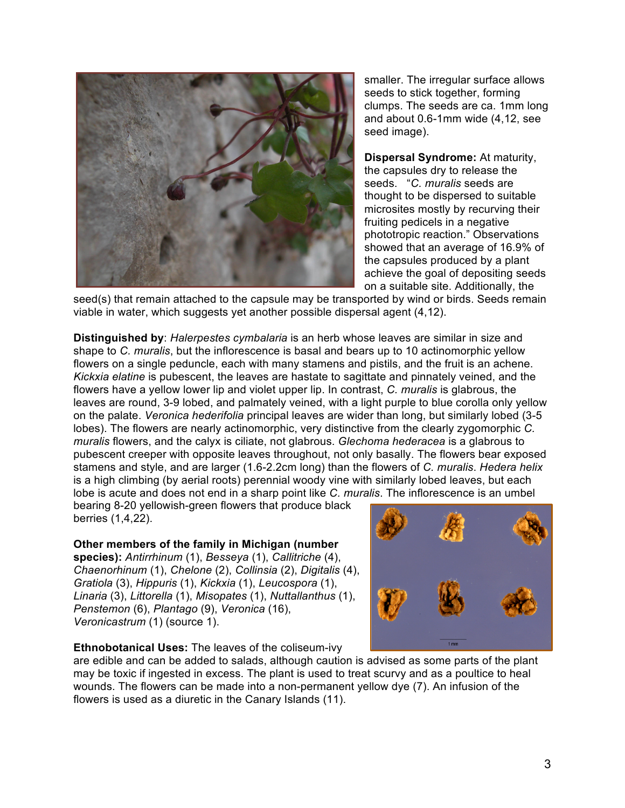

smaller. The irregular surface allows seeds to stick together, forming clumps. The seeds are ca. 1mm long and about 0.6-1mm wide (4,12, see seed image).

**Dispersal Syndrome:** At maturity, the capsules dry to release the seeds. "*C. muralis* seeds are thought to be dispersed to suitable microsites mostly by recurving their fruiting pedicels in a negative phototropic reaction." Observations showed that an average of 16.9% of the capsules produced by a plant achieve the goal of depositing seeds on a suitable site. Additionally, the

seed(s) that remain attached to the capsule may be transported by wind or birds. Seeds remain viable in water, which suggests yet another possible dispersal agent (4,12).

**Distinguished by**: *Halerpestes cymbalaria* is an herb whose leaves are similar in size and shape to *C. muralis*, but the inflorescence is basal and bears up to 10 actinomorphic yellow flowers on a single peduncle, each with many stamens and pistils, and the fruit is an achene. *Kickxia elatine* is pubescent, the leaves are hastate to sagittate and pinnately veined, and the flowers have a yellow lower lip and violet upper lip. In contrast, *C. muralis* is glabrous, the leaves are round, 3-9 lobed, and palmately veined, with a light purple to blue corolla only yellow on the palate. *Veronica hederifolia* principal leaves are wider than long, but similarly lobed (3-5 lobes). The flowers are nearly actinomorphic, very distinctive from the clearly zygomorphic *C. muralis* flowers, and the calyx is ciliate, not glabrous. *Glechoma hederacea* is a glabrous to pubescent creeper with opposite leaves throughout, not only basally. The flowers bear exposed stamens and style, and are larger (1.6-2.2cm long) than the flowers of *C. muralis*. *Hedera helix* is a high climbing (by aerial roots) perennial woody vine with similarly lobed leaves, but each lobe is acute and does not end in a sharp point like *C. muralis*. The inflorescence is an umbel

bearing 8-20 yellowish-green flowers that produce black berries (1,4,22).

#### **Other members of the family in Michigan (number**

**species):** *Antirrhinum* (1), *Besseya* (1), *Callitriche* (4), *Chaenorhinum* (1), *Chelone* (2), *Collinsia* (2), *Digitalis* (4), *Gratiola* (3), *Hippuris* (1), *Kickxia* (1), *Leucospora* (1), *Linaria* (3), *Littorella* (1), *Misopates* (1), *Nuttallanthus* (1), *Penstemon* (6), *Plantago* (9), *Veronica* (16), *Veronicastrum* (1) (source 1).



#### **Ethnobotanical Uses:** The leaves of the coliseum-ivy

are edible and can be added to salads, although caution is advised as some parts of the plant may be toxic if ingested in excess. The plant is used to treat scurvy and as a poultice to heal wounds. The flowers can be made into a non-permanent yellow dye (7). An infusion of the flowers is used as a diuretic in the Canary Islands (11).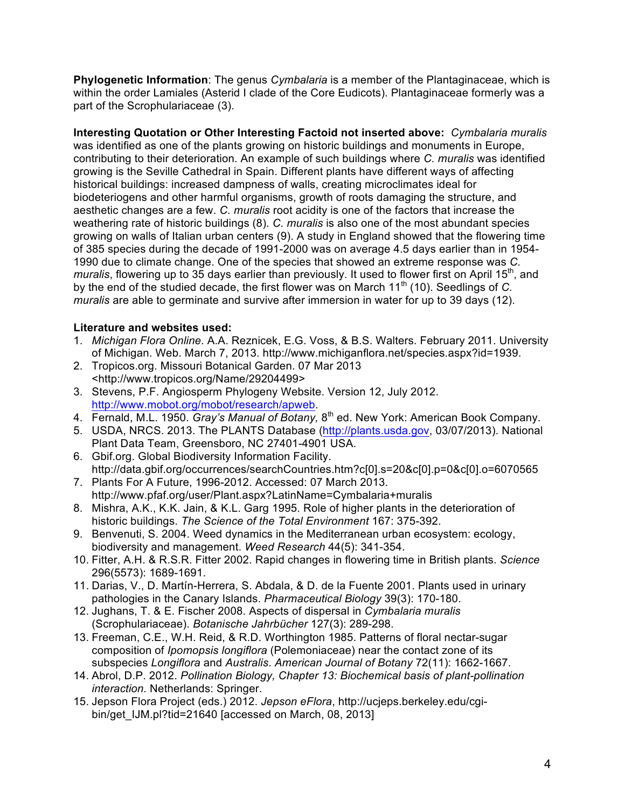**Phylogenetic Information**: The genus *Cymbalaria* is a member of the Plantaginaceae, which is within the order Lamiales (Asterid I clade of the Core Eudicots). Plantaginaceae formerly was a part of the Scrophulariaceae (3).

**Interesting Quotation or Other Interesting Factoid not inserted above:** *Cymbalaria muralis* was identified as one of the plants growing on historic buildings and monuments in Europe, contributing to their deterioration. An example of such buildings where *C. muralis* was identified growing is the Seville Cathedral in Spain. Different plants have different ways of affecting historical buildings: increased dampness of walls, creating microclimates ideal for biodeteriogens and other harmful organisms, growth of roots damaging the structure, and aesthetic changes are a few. *C. muralis* root acidity is one of the factors that increase the weathering rate of historic buildings (8). *C. muralis* is also one of the most abundant species growing on walls of Italian urban centers (9). A study in England showed that the flowering time of 385 species during the decade of 1991-2000 was on average 4.5 days earlier than in 1954- 1990 due to climate change. One of the species that showed an extreme response was *C. muralis*, flowering up to 35 days earlier than previously. It used to flower first on April 15<sup>th</sup>, and by the end of the studied decade, the first flower was on March 11<sup>th</sup> (10). Seedlings of *C. muralis* are able to germinate and survive after immersion in water for up to 39 days (12).

#### **Literature and websites used:**

- 1. *Michigan Flora Online*. A.A. Reznicek, E.G. Voss, & B.S. Walters. February 2011. University of Michigan. Web. March 7, 2013. http://www.michiganflora.net/species.aspx?id=1939.
- 2. Tropicos.org. Missouri Botanical Garden. 07 Mar 2013 <http://www.tropicos.org/Name/29204499>
- 3. Stevens, P.F. Angiosperm Phylogeny Website. Version 12, July 2012. http://www.mobot.org/mobot/research/apweb.
- 4. Fernald, M.L. 1950. *Gray's Manual of Botany,* 8th ed. New York: American Book Company.
- 5. USDA, NRCS. 2013. The PLANTS Database (http://plants.usda.gov, 03/07/2013). National Plant Data Team, Greensboro, NC 27401-4901 USA.
- 6. Gbif.org. Global Biodiversity Information Facility. http://data.gbif.org/occurrences/searchCountries.htm?c[0].s=20&c[0].p=0&c[0].o=6070565
- 7. Plants For A Future, 1996-2012. Accessed: 07 March 2013. http://www.pfaf.org/user/Plant.aspx?LatinName=Cymbalaria+muralis
- 8. Mishra, A.K., K.K. Jain, & K.L. Garg 1995. Role of higher plants in the deterioration of historic buildings. *The Science of the Total Environment* 167: 375-392.
- 9. Benvenuti, S. 2004. Weed dynamics in the Mediterranean urban ecosystem: ecology, biodiversity and management. *Weed Research* 44(5): 341-354.
- 10. Fitter, A.H. & R.S.R. Fitter 2002. Rapid changes in flowering time in British plants. *Science* 296(5573): 1689-1691.
- 11. Darias, V., D. Martín-Herrera, S. Abdala, & D. de la Fuente 2001. Plants used in urinary pathologies in the Canary Islands. *Pharmaceutical Biology* 39(3): 170-180.
- 12. Jughans, T. & E. Fischer 2008. Aspects of dispersal in *Cymbalaria muralis* (Scrophulariaceae). *Botanische Jahrbücher* 127(3): 289-298.
- 13. Freeman, C.E., W.H. Reid, & R.D. Worthington 1985. Patterns of floral nectar-sugar composition of *Ipomopsis longiflora* (Polemoniaceae) near the contact zone of its subspecies *Longiflora* and *Australis*. *American Journal of Botany* 72(11): 1662-1667.
- 14. Abrol, D.P. 2012. *Pollination Biology, Chapter 13: Biochemical basis of plant-pollination interaction.* Netherlands: Springer.
- 15. Jepson Flora Project (eds.) 2012. *Jepson eFlora*, http://ucjeps.berkeley.edu/cgibin/get\_IJM.pl?tid=21640 [accessed on March, 08, 2013]